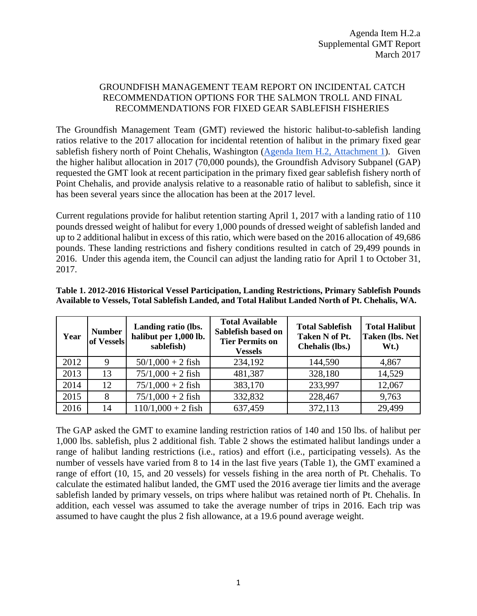## GROUNDFISH MANAGEMENT TEAM REPORT ON INCIDENTAL CATCH RECOMMENDATION OPTIONS FOR THE SALMON TROLL AND FINAL RECOMMENDATIONS FOR FIXED GEAR SABLEFISH FISHERIES

The Groundfish Management Team (GMT) reviewed the historic halibut-to-sablefish landing ratios relative to the 2017 allocation for incidental retention of halibut in the primary fixed gear sablefish fishery north of Point Chehalis, Washington [\(Agenda Item H.2, Attachment 1\)](http://www.pcouncil.org/wp-content/uploads/2017/02/H2_Att_1_Hal_History_Mar2017BB.pdf). Given the higher halibut allocation in 2017 (70,000 pounds), the Groundfish Advisory Subpanel (GAP) requested the GMT look at recent participation in the primary fixed gear sablefish fishery north of Point Chehalis, and provide analysis relative to a reasonable ratio of halibut to sablefish, since it has been several years since the allocation has been at the 2017 level.

Current regulations provide for halibut retention starting April 1, 2017 with a landing ratio of 110 pounds dressed weight of halibut for every 1,000 pounds of dressed weight of sablefish landed and up to 2 additional halibut in excess of this ratio, which were based on the 2016 allocation of 49,686 pounds. These landing restrictions and fishery conditions resulted in catch of 29,499 pounds in 2016. Under this agenda item, the Council can adjust the landing ratio for April 1 to October 31, 2017.

| Year | <b>Number</b><br>of Vessels | Landing ratio (lbs.<br>halibut per 1,000 lb.<br>sablefish) | <b>Total Available</b><br>Sablefish based on<br><b>Tier Permits on</b><br><b>Vessels</b> | <b>Total Sablefish</b><br>Taken N of Pt.<br>Chehalis (lbs.) | <b>Total Halibut</b><br>Taken (lbs. Net<br>Wt. |
|------|-----------------------------|------------------------------------------------------------|------------------------------------------------------------------------------------------|-------------------------------------------------------------|------------------------------------------------|
| 2012 | 9                           | $50/1,000 + 2$ fish                                        | 234,192                                                                                  | 144,590                                                     | 4,867                                          |
| 2013 | 13                          | $75/1,000 + 2$ fish                                        | 481,387                                                                                  | 328,180                                                     | 14,529                                         |
| 2014 | 12                          | $75/1,000 + 2$ fish                                        | 383,170                                                                                  | 233,997                                                     | 12,067                                         |
| 2015 | 8                           | $75/1,000 + 2$ fish                                        | 332,832                                                                                  | 228,467                                                     | 9,763                                          |
| 2016 | 14                          | $110/1,000 + 2$ fish                                       | 637,459                                                                                  | 372,113                                                     | 29,499                                         |

<span id="page-0-0"></span>**Table 1. 2012-2016 Historical Vessel Participation, Landing Restrictions, Primary Sablefish Pounds Available to Vessels, Total Sablefish Landed, and Total Halibut Landed North of Pt. Chehalis, WA.** 

The GAP asked the GMT to examine landing restriction ratios of 140 and 150 lbs. of halibut per 1,000 lbs. sablefish, plus 2 additional fish. [Table 2](#page-1-0) shows the estimated halibut landings under a range of halibut landing restrictions (i.e., ratios) and effort (i.e., participating vessels). As the number of vessels have varied from 8 to 14 in the last five years [\(Table 1\)](#page-0-0), the GMT examined a range of effort (10, 15, and 20 vessels) for vessels fishing in the area north of Pt. Chehalis. To calculate the estimated halibut landed, the GMT used the 2016 average tier limits and the average sablefish landed by primary vessels, on trips where halibut was retained north of Pt. Chehalis. In addition, each vessel was assumed to take the average number of trips in 2016. Each trip was assumed to have caught the plus 2 fish allowance, at a 19.6 pound average weight.